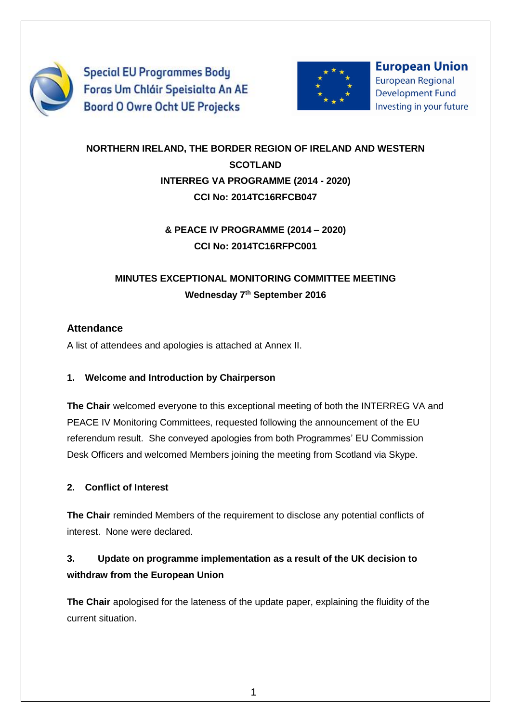

**Special EU Programmes Body** Foras Um Chláir Speisialta An AE **Boord O Owre Ocht UE Projecks** 



**European Union European Regional Development Fund** Investing in your future

# **NORTHERN IRELAND, THE BORDER REGION OF IRELAND AND WESTERN SCOTLAND INTERREG VA PROGRAMME (2014 - 2020) CCI No: 2014TC16RFCB047**

### **& PEACE IV PROGRAMME (2014 – 2020) CCI No: 2014TC16RFPC001**

# **MINUTES EXCEPTIONAL MONITORING COMMITTEE MEETING Wednesday 7th September 2016**

### **Attendance**

A list of attendees and apologies is attached at Annex II.

#### **1. Welcome and Introduction by Chairperson**

**The Chair** welcomed everyone to this exceptional meeting of both the INTERREG VA and PEACE IV Monitoring Committees, requested following the announcement of the EU referendum result. She conveyed apologies from both Programmes' EU Commission Desk Officers and welcomed Members joining the meeting from Scotland via Skype.

### **2. Conflict of Interest**

**The Chair** reminded Members of the requirement to disclose any potential conflicts of interest. None were declared.

# **3. Update on programme implementation as a result of the UK decision to withdraw from the European Union**

**The Chair** apologised for the lateness of the update paper, explaining the fluidity of the current situation.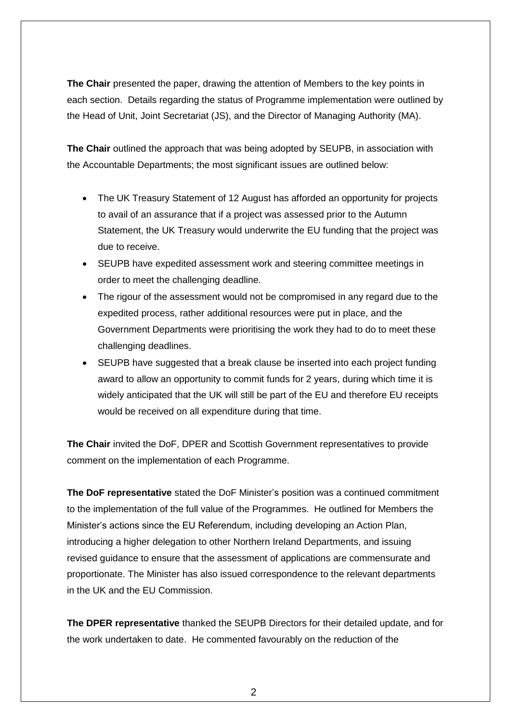**The Chair** presented the paper, drawing the attention of Members to the key points in each section. Details regarding the status of Programme implementation were outlined by the Head of Unit, Joint Secretariat (JS), and the Director of Managing Authority (MA).

**The Chair** outlined the approach that was being adopted by SEUPB, in association with the Accountable Departments; the most significant issues are outlined below:

- The UK Treasury Statement of 12 August has afforded an opportunity for projects to avail of an assurance that if a project was assessed prior to the Autumn Statement, the UK Treasury would underwrite the EU funding that the project was due to receive.
- SEUPB have expedited assessment work and steering committee meetings in order to meet the challenging deadline.
- The rigour of the assessment would not be compromised in any regard due to the expedited process, rather additional resources were put in place, and the Government Departments were prioritising the work they had to do to meet these challenging deadlines.
- SEUPB have suggested that a break clause be inserted into each project funding award to allow an opportunity to commit funds for 2 years, during which time it is widely anticipated that the UK will still be part of the EU and therefore EU receipts would be received on all expenditure during that time.

**The Chair** invited the DoF, DPER and Scottish Government representatives to provide comment on the implementation of each Programme.

**The DoF representative** stated the DoF Minister's position was a continued commitment to the implementation of the full value of the Programmes. He outlined for Members the Minister's actions since the EU Referendum, including developing an Action Plan, introducing a higher delegation to other Northern Ireland Departments, and issuing revised guidance to ensure that the assessment of applications are commensurate and proportionate. The Minister has also issued correspondence to the relevant departments in the UK and the EU Commission.

**The DPER representative** thanked the SEUPB Directors for their detailed update, and for the work undertaken to date. He commented favourably on the reduction of the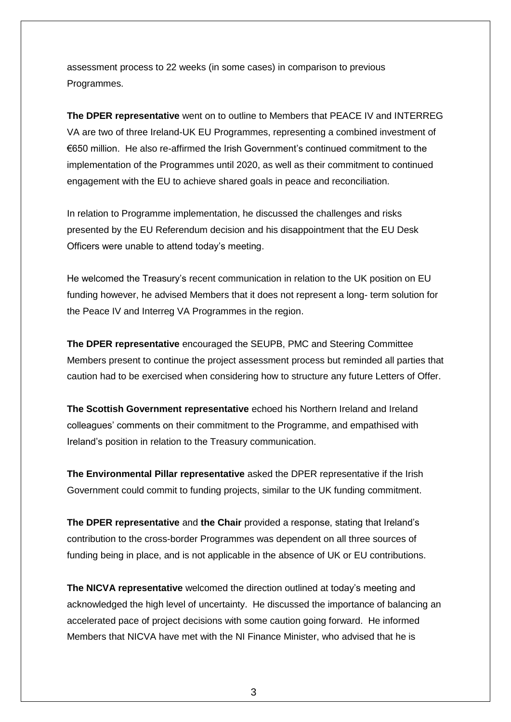assessment process to 22 weeks (in some cases) in comparison to previous Programmes.

**The DPER representative** went on to outline to Members that PEACE IV and INTERREG VA are two of three Ireland-UK EU Programmes, representing a combined investment of €650 million. He also re-affirmed the Irish Government's continued commitment to the implementation of the Programmes until 2020, as well as their commitment to continued engagement with the EU to achieve shared goals in peace and reconciliation.

In relation to Programme implementation, he discussed the challenges and risks presented by the EU Referendum decision and his disappointment that the EU Desk Officers were unable to attend today's meeting.

He welcomed the Treasury's recent communication in relation to the UK position on EU funding however, he advised Members that it does not represent a long- term solution for the Peace IV and Interreg VA Programmes in the region.

**The DPER representative** encouraged the SEUPB, PMC and Steering Committee Members present to continue the project assessment process but reminded all parties that caution had to be exercised when considering how to structure any future Letters of Offer.

**The Scottish Government representative** echoed his Northern Ireland and Ireland colleagues' comments on their commitment to the Programme, and empathised with Ireland's position in relation to the Treasury communication.

**The Environmental Pillar representative** asked the DPER representative if the Irish Government could commit to funding projects, similar to the UK funding commitment.

**The DPER representative** and **the Chair** provided a response, stating that Ireland's contribution to the cross-border Programmes was dependent on all three sources of funding being in place, and is not applicable in the absence of UK or EU contributions.

**The NICVA representative** welcomed the direction outlined at today's meeting and acknowledged the high level of uncertainty. He discussed the importance of balancing an accelerated pace of project decisions with some caution going forward. He informed Members that NICVA have met with the NI Finance Minister, who advised that he is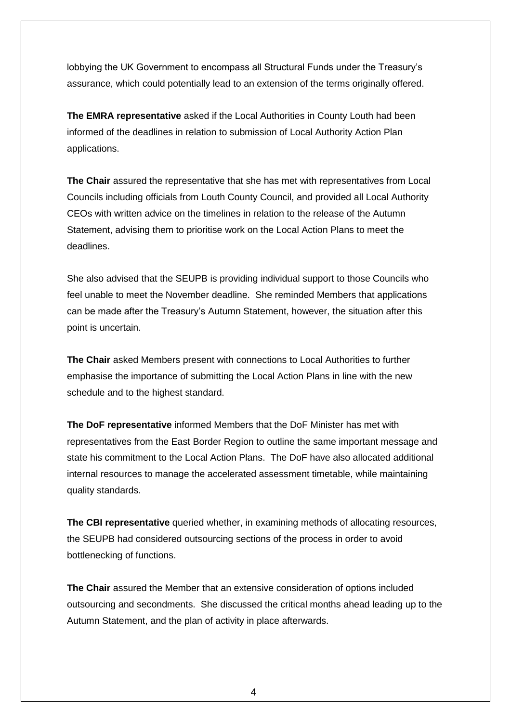lobbying the UK Government to encompass all Structural Funds under the Treasury's assurance, which could potentially lead to an extension of the terms originally offered.

**The EMRA representative** asked if the Local Authorities in County Louth had been informed of the deadlines in relation to submission of Local Authority Action Plan applications.

**The Chair** assured the representative that she has met with representatives from Local Councils including officials from Louth County Council, and provided all Local Authority CEOs with written advice on the timelines in relation to the release of the Autumn Statement, advising them to prioritise work on the Local Action Plans to meet the deadlines.

She also advised that the SEUPB is providing individual support to those Councils who feel unable to meet the November deadline. She reminded Members that applications can be made after the Treasury's Autumn Statement, however, the situation after this point is uncertain.

**The Chair** asked Members present with connections to Local Authorities to further emphasise the importance of submitting the Local Action Plans in line with the new schedule and to the highest standard.

**The DoF representative** informed Members that the DoF Minister has met with representatives from the East Border Region to outline the same important message and state his commitment to the Local Action Plans. The DoF have also allocated additional internal resources to manage the accelerated assessment timetable, while maintaining quality standards.

**The CBI representative** queried whether, in examining methods of allocating resources, the SEUPB had considered outsourcing sections of the process in order to avoid bottlenecking of functions.

**The Chair** assured the Member that an extensive consideration of options included outsourcing and secondments. She discussed the critical months ahead leading up to the Autumn Statement, and the plan of activity in place afterwards.

4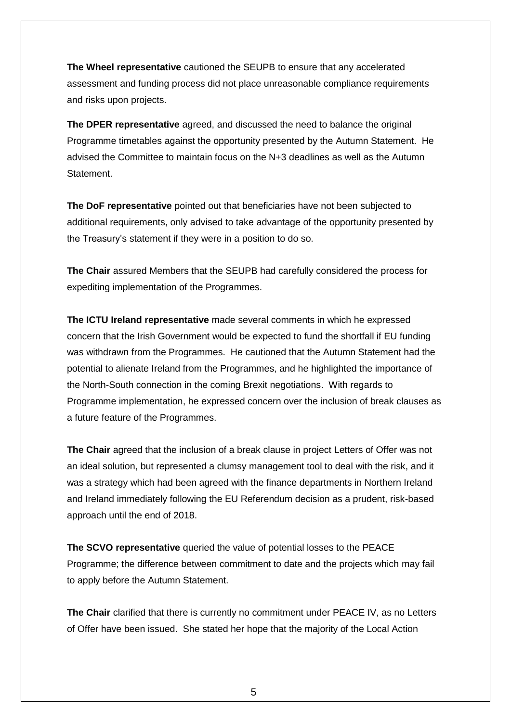**The Wheel representative** cautioned the SEUPB to ensure that any accelerated assessment and funding process did not place unreasonable compliance requirements and risks upon projects.

**The DPER representative** agreed, and discussed the need to balance the original Programme timetables against the opportunity presented by the Autumn Statement. He advised the Committee to maintain focus on the N+3 deadlines as well as the Autumn Statement.

**The DoF representative** pointed out that beneficiaries have not been subjected to additional requirements, only advised to take advantage of the opportunity presented by the Treasury's statement if they were in a position to do so.

**The Chair** assured Members that the SEUPB had carefully considered the process for expediting implementation of the Programmes.

**The ICTU Ireland representative** made several comments in which he expressed concern that the Irish Government would be expected to fund the shortfall if EU funding was withdrawn from the Programmes. He cautioned that the Autumn Statement had the potential to alienate Ireland from the Programmes, and he highlighted the importance of the North-South connection in the coming Brexit negotiations. With regards to Programme implementation, he expressed concern over the inclusion of break clauses as a future feature of the Programmes.

**The Chair** agreed that the inclusion of a break clause in project Letters of Offer was not an ideal solution, but represented a clumsy management tool to deal with the risk, and it was a strategy which had been agreed with the finance departments in Northern Ireland and Ireland immediately following the EU Referendum decision as a prudent, risk-based approach until the end of 2018.

**The SCVO representative** queried the value of potential losses to the PEACE Programme; the difference between commitment to date and the projects which may fail to apply before the Autumn Statement.

**The Chair** clarified that there is currently no commitment under PEACE IV, as no Letters of Offer have been issued. She stated her hope that the majority of the Local Action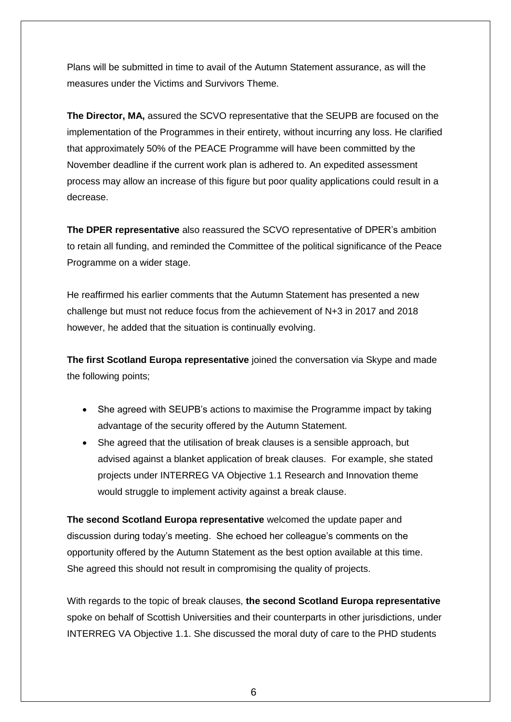Plans will be submitted in time to avail of the Autumn Statement assurance, as will the measures under the Victims and Survivors Theme.

**The Director, MA,** assured the SCVO representative that the SEUPB are focused on the implementation of the Programmes in their entirety, without incurring any loss. He clarified that approximately 50% of the PEACE Programme will have been committed by the November deadline if the current work plan is adhered to. An expedited assessment process may allow an increase of this figure but poor quality applications could result in a decrease.

**The DPER representative** also reassured the SCVO representative of DPER's ambition to retain all funding, and reminded the Committee of the political significance of the Peace Programme on a wider stage.

He reaffirmed his earlier comments that the Autumn Statement has presented a new challenge but must not reduce focus from the achievement of N+3 in 2017 and 2018 however, he added that the situation is continually evolving.

**The first Scotland Europa representative** joined the conversation via Skype and made the following points;

- She agreed with SEUPB's actions to maximise the Programme impact by taking advantage of the security offered by the Autumn Statement.
- She agreed that the utilisation of break clauses is a sensible approach, but advised against a blanket application of break clauses. For example, she stated projects under INTERREG VA Objective 1.1 Research and Innovation theme would struggle to implement activity against a break clause.

**The second Scotland Europa representative** welcomed the update paper and discussion during today's meeting. She echoed her colleague's comments on the opportunity offered by the Autumn Statement as the best option available at this time. She agreed this should not result in compromising the quality of projects.

With regards to the topic of break clauses, **the second Scotland Europa representative** spoke on behalf of Scottish Universities and their counterparts in other jurisdictions, under INTERREG VA Objective 1.1. She discussed the moral duty of care to the PHD students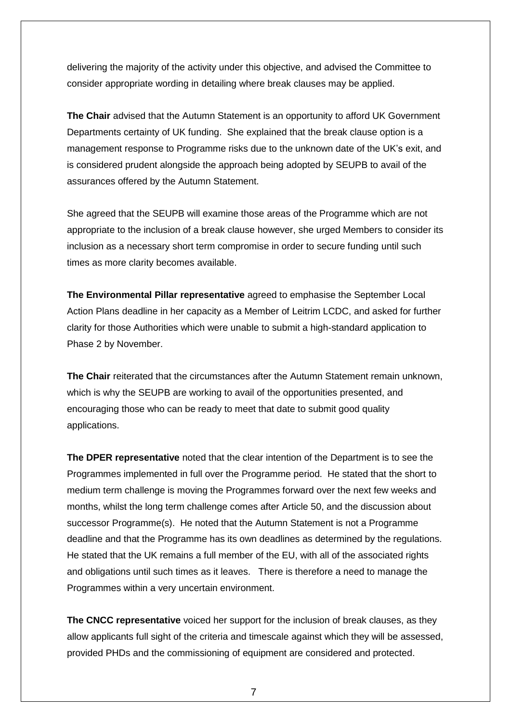delivering the majority of the activity under this objective, and advised the Committee to consider appropriate wording in detailing where break clauses may be applied.

**The Chair** advised that the Autumn Statement is an opportunity to afford UK Government Departments certainty of UK funding. She explained that the break clause option is a management response to Programme risks due to the unknown date of the UK's exit, and is considered prudent alongside the approach being adopted by SEUPB to avail of the assurances offered by the Autumn Statement.

She agreed that the SEUPB will examine those areas of the Programme which are not appropriate to the inclusion of a break clause however, she urged Members to consider its inclusion as a necessary short term compromise in order to secure funding until such times as more clarity becomes available.

**The Environmental Pillar representative** agreed to emphasise the September Local Action Plans deadline in her capacity as a Member of Leitrim LCDC, and asked for further clarity for those Authorities which were unable to submit a high-standard application to Phase 2 by November.

**The Chair** reiterated that the circumstances after the Autumn Statement remain unknown, which is why the SEUPB are working to avail of the opportunities presented, and encouraging those who can be ready to meet that date to submit good quality applications.

**The DPER representative** noted that the clear intention of the Department is to see the Programmes implemented in full over the Programme period. He stated that the short to medium term challenge is moving the Programmes forward over the next few weeks and months, whilst the long term challenge comes after Article 50, and the discussion about successor Programme(s). He noted that the Autumn Statement is not a Programme deadline and that the Programme has its own deadlines as determined by the regulations. He stated that the UK remains a full member of the EU, with all of the associated rights and obligations until such times as it leaves. There is therefore a need to manage the Programmes within a very uncertain environment.

**The CNCC representative** voiced her support for the inclusion of break clauses, as they allow applicants full sight of the criteria and timescale against which they will be assessed, provided PHDs and the commissioning of equipment are considered and protected.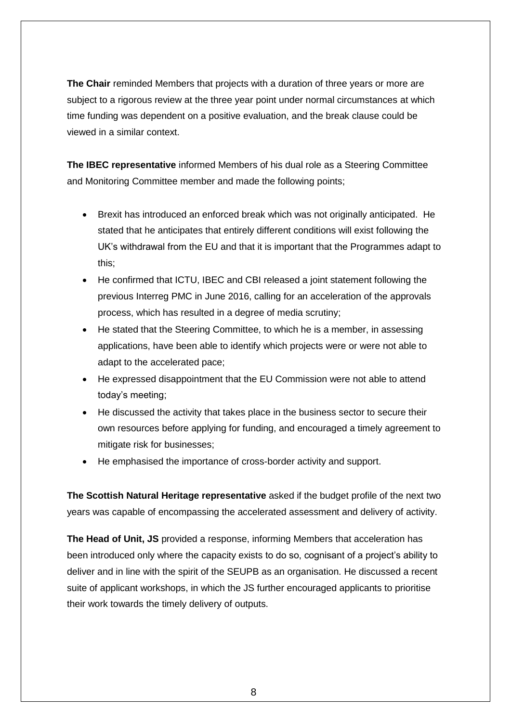**The Chair** reminded Members that projects with a duration of three years or more are subject to a rigorous review at the three year point under normal circumstances at which time funding was dependent on a positive evaluation, and the break clause could be viewed in a similar context.

**The IBEC representative** informed Members of his dual role as a Steering Committee and Monitoring Committee member and made the following points;

- Brexit has introduced an enforced break which was not originally anticipated. He stated that he anticipates that entirely different conditions will exist following the UK's withdrawal from the EU and that it is important that the Programmes adapt to this;
- He confirmed that ICTU, IBEC and CBI released a joint statement following the previous Interreg PMC in June 2016, calling for an acceleration of the approvals process, which has resulted in a degree of media scrutiny;
- He stated that the Steering Committee, to which he is a member, in assessing applications, have been able to identify which projects were or were not able to adapt to the accelerated pace;
- He expressed disappointment that the EU Commission were not able to attend today's meeting;
- He discussed the activity that takes place in the business sector to secure their own resources before applying for funding, and encouraged a timely agreement to mitigate risk for businesses;
- He emphasised the importance of cross-border activity and support.

**The Scottish Natural Heritage representative** asked if the budget profile of the next two years was capable of encompassing the accelerated assessment and delivery of activity.

**The Head of Unit, JS** provided a response, informing Members that acceleration has been introduced only where the capacity exists to do so, cognisant of a project's ability to deliver and in line with the spirit of the SEUPB as an organisation. He discussed a recent suite of applicant workshops, in which the JS further encouraged applicants to prioritise their work towards the timely delivery of outputs.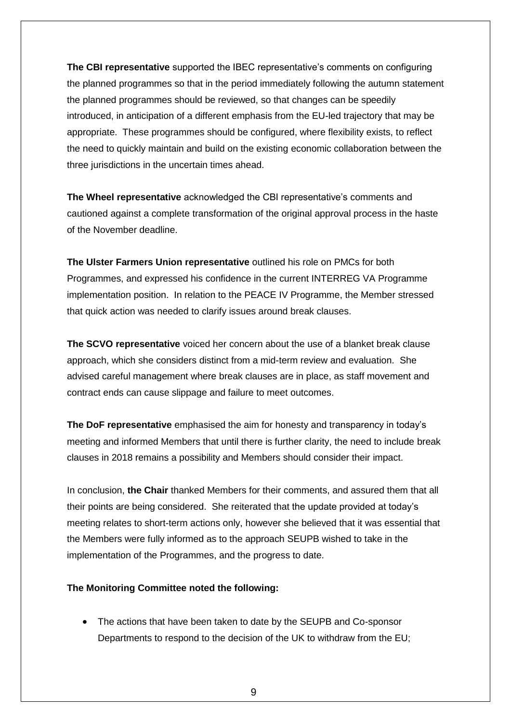**The CBI representative** supported the IBEC representative's comments on configuring the planned programmes so that in the period immediately following the autumn statement the planned programmes should be reviewed, so that changes can be speedily introduced, in anticipation of a different emphasis from the EU-led trajectory that may be appropriate. These programmes should be configured, where flexibility exists, to reflect the need to quickly maintain and build on the existing economic collaboration between the three jurisdictions in the uncertain times ahead.

**The Wheel representative** acknowledged the CBI representative's comments and cautioned against a complete transformation of the original approval process in the haste of the November deadline.

**The Ulster Farmers Union representative** outlined his role on PMCs for both Programmes, and expressed his confidence in the current INTERREG VA Programme implementation position. In relation to the PEACE IV Programme, the Member stressed that quick action was needed to clarify issues around break clauses.

**The SCVO representative** voiced her concern about the use of a blanket break clause approach, which she considers distinct from a mid-term review and evaluation. She advised careful management where break clauses are in place, as staff movement and contract ends can cause slippage and failure to meet outcomes.

**The DoF representative** emphasised the aim for honesty and transparency in today's meeting and informed Members that until there is further clarity, the need to include break clauses in 2018 remains a possibility and Members should consider their impact.

In conclusion, **the Chair** thanked Members for their comments, and assured them that all their points are being considered. She reiterated that the update provided at today's meeting relates to short-term actions only, however she believed that it was essential that the Members were fully informed as to the approach SEUPB wished to take in the implementation of the Programmes, and the progress to date.

#### **The Monitoring Committee noted the following:**

 The actions that have been taken to date by the SEUPB and Co-sponsor Departments to respond to the decision of the UK to withdraw from the EU;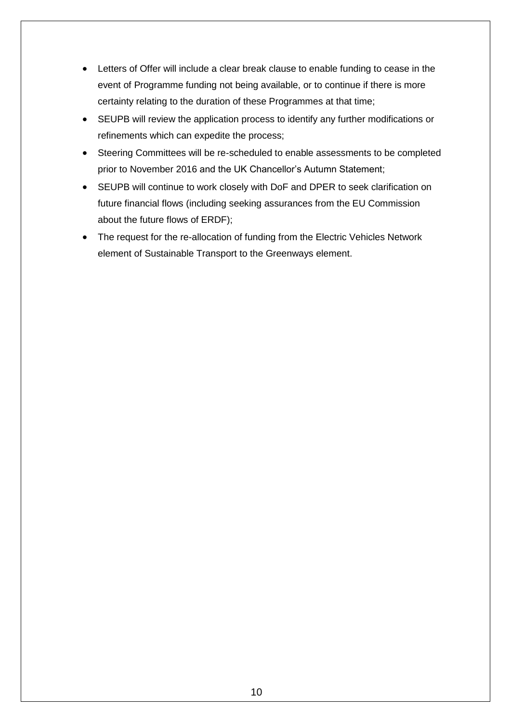- Letters of Offer will include a clear break clause to enable funding to cease in the event of Programme funding not being available, or to continue if there is more certainty relating to the duration of these Programmes at that time;
- SEUPB will review the application process to identify any further modifications or refinements which can expedite the process;
- Steering Committees will be re-scheduled to enable assessments to be completed prior to November 2016 and the UK Chancellor's Autumn Statement;
- SEUPB will continue to work closely with DoF and DPER to seek clarification on future financial flows (including seeking assurances from the EU Commission about the future flows of ERDF);
- The request for the re-allocation of funding from the Electric Vehicles Network element of Sustainable Transport to the Greenways element.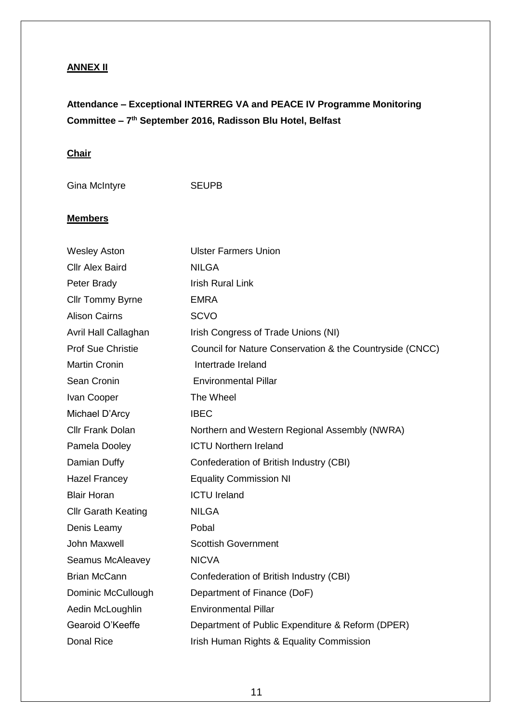### **ANNEX II**

# **Attendance – Exceptional INTERREG VA and PEACE IV Programme Monitoring Committee – 7 th September 2016, Radisson Blu Hotel, Belfast**

#### **Chair**

Gina McIntyre SEUPB

#### **Members**

| <b>Wesley Aston</b>        | <b>Ulster Farmers Union</b>                              |
|----------------------------|----------------------------------------------------------|
| <b>Cllr Alex Baird</b>     | <b>NILGA</b>                                             |
| Peter Brady                | <b>Irish Rural Link</b>                                  |
| <b>Cllr Tommy Byrne</b>    | <b>EMRA</b>                                              |
| <b>Alison Cairns</b>       | <b>SCVO</b>                                              |
| Avril Hall Callaghan       | Irish Congress of Trade Unions (NI)                      |
| <b>Prof Sue Christie</b>   | Council for Nature Conservation & the Countryside (CNCC) |
| <b>Martin Cronin</b>       | Intertrade Ireland                                       |
| Sean Cronin                | <b>Environmental Pillar</b>                              |
| Ivan Cooper                | The Wheel                                                |
| Michael D'Arcy             | <b>IBEC</b>                                              |
| <b>Cllr Frank Dolan</b>    | Northern and Western Regional Assembly (NWRA)            |
| Pamela Dooley              | <b>ICTU Northern Ireland</b>                             |
| Damian Duffy               | Confederation of British Industry (CBI)                  |
| <b>Hazel Francey</b>       | <b>Equality Commission NI</b>                            |
| <b>Blair Horan</b>         | <b>ICTU Ireland</b>                                      |
| <b>Cllr Garath Keating</b> | <b>NILGA</b>                                             |
| Denis Leamy                | Pobal                                                    |
| John Maxwell               | <b>Scottish Government</b>                               |
| Seamus McAleavey           | <b>NICVA</b>                                             |
| <b>Brian McCann</b>        | Confederation of British Industry (CBI)                  |
| Dominic McCullough         | Department of Finance (DoF)                              |
| Aedin McLoughlin           | <b>Environmental Pillar</b>                              |
| Gearoid O'Keeffe           | Department of Public Expenditure & Reform (DPER)         |
| <b>Donal Rice</b>          | Irish Human Rights & Equality Commission                 |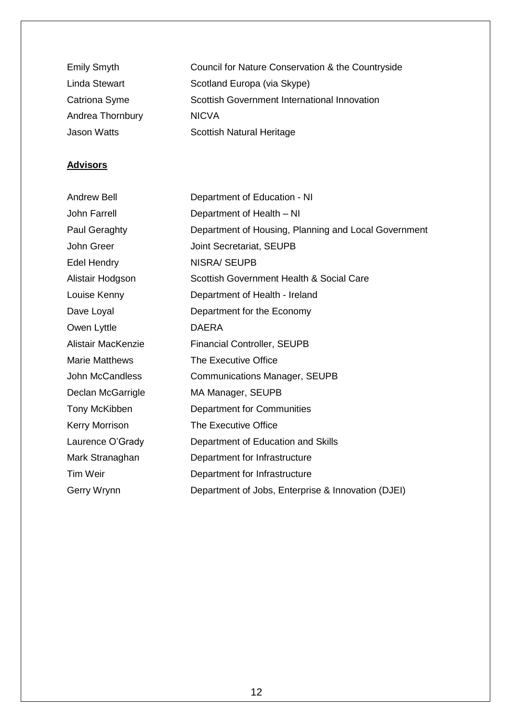| <b>Emily Smyth</b> | Council for Nature Conservation & the Countryside |
|--------------------|---------------------------------------------------|
| Linda Stewart      | Scotland Europa (via Skype)                       |
| Catriona Syme      | Scottish Government International Innovation      |
| Andrea Thornbury   | <b>NICVA</b>                                      |
| <b>Jason Watts</b> | <b>Scottish Natural Heritage</b>                  |

### **Advisors**

| <b>Andrew Bell</b>    | Department of Education - NI                         |
|-----------------------|------------------------------------------------------|
| <b>John Farrell</b>   | Department of Health - NI                            |
| Paul Geraghty         | Department of Housing, Planning and Local Government |
| John Greer            | Joint Secretariat, SEUPB                             |
| <b>Edel Hendry</b>    | <b>NISRA/ SEUPB</b>                                  |
| Alistair Hodgson      | Scottish Government Health & Social Care             |
| Louise Kenny          | Department of Health - Ireland                       |
| Dave Loyal            | Department for the Economy                           |
| Owen Lyttle           | <b>DAERA</b>                                         |
| Alistair MacKenzie    | <b>Financial Controller, SEUPB</b>                   |
| <b>Marie Matthews</b> | <b>The Executive Office</b>                          |
| John McCandless       | <b>Communications Manager, SEUPB</b>                 |
| Declan McGarrigle     | MA Manager, SEUPB                                    |
| Tony McKibben         | Department for Communities                           |
| <b>Kerry Morrison</b> | The Executive Office                                 |
| Laurence O'Grady      | Department of Education and Skills                   |
| Mark Stranaghan       | Department for Infrastructure                        |
| <b>Tim Weir</b>       | Department for Infrastructure                        |
| Gerry Wrynn           | Department of Jobs, Enterprise & Innovation (DJEI)   |
|                       |                                                      |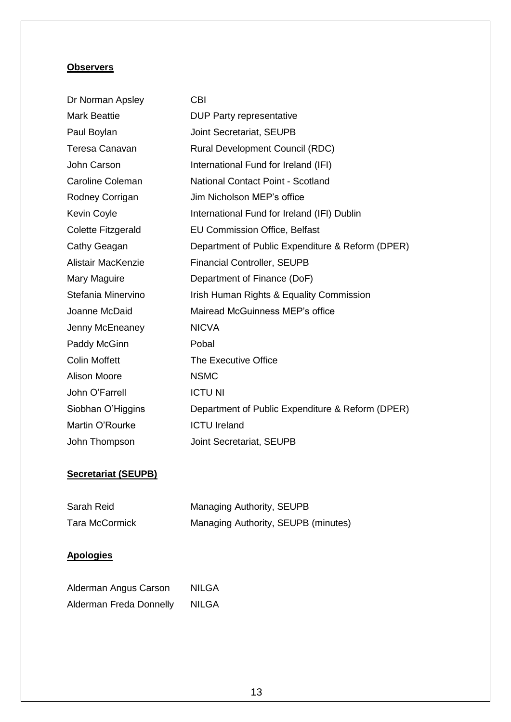#### **Observers**

| Dr Norman Apsley     | <b>CBI</b>                                       |
|----------------------|--------------------------------------------------|
| <b>Mark Beattie</b>  | <b>DUP Party representative</b>                  |
| Paul Boylan          | Joint Secretariat, SEUPB                         |
| Teresa Canavan       | <b>Rural Development Council (RDC)</b>           |
| John Carson          | International Fund for Ireland (IFI)             |
| Caroline Coleman     | National Contact Point - Scotland                |
| Rodney Corrigan      | Jim Nicholson MEP's office                       |
| Kevin Coyle          | International Fund for Ireland (IFI) Dublin      |
| Colette Fitzgerald   | <b>EU Commission Office, Belfast</b>             |
| Cathy Geagan         | Department of Public Expenditure & Reform (DPER) |
| Alistair MacKenzie   | <b>Financial Controller, SEUPB</b>               |
| Mary Maguire         | Department of Finance (DoF)                      |
| Stefania Minervino   | Irish Human Rights & Equality Commission         |
| Joanne McDaid        | Mairead McGuinness MEP's office                  |
| Jenny McEneaney      | <b>NICVA</b>                                     |
| Paddy McGinn         | Pobal                                            |
| <b>Colin Moffett</b> | The Executive Office                             |
| <b>Alison Moore</b>  | <b>NSMC</b>                                      |
| John O'Farrell       | <b>ICTU NI</b>                                   |
| Siobhan O'Higgins    | Department of Public Expenditure & Reform (DPER) |
| Martin O'Rourke      | <b>ICTU Ireland</b>                              |
| John Thompson        | Joint Secretariat, SEUPB                         |

### **Secretariat (SEUPB)**

| Sarah Reid            | Managing Authority, SEUPB           |  |
|-----------------------|-------------------------------------|--|
| <b>Tara McCormick</b> | Managing Authority, SEUPB (minutes) |  |

### **Apologies**

| Alderman Angus Carson   | <b>NILGA</b> |
|-------------------------|--------------|
| Alderman Freda Donnelly | <b>NILGA</b> |